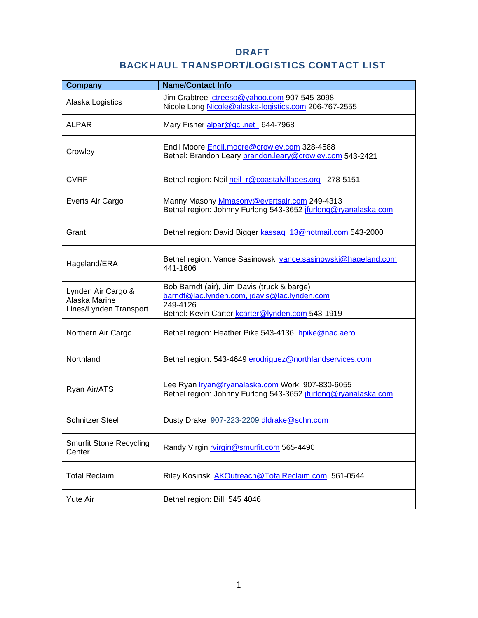### DRAFT

# BACKHAUL TRANSPORT/LOGISTICS CONTACT LIST

| <b>Company</b>                                                | <b>Name/Contact Info</b>                                                                                                                                    |
|---------------------------------------------------------------|-------------------------------------------------------------------------------------------------------------------------------------------------------------|
| Alaska Logistics                                              | Jim Crabtree jctreeso@yahoo.com 907 545-3098<br>Nicole Long Nicole@alaska-logistics.com 206-767-2555                                                        |
| <b>ALPAR</b>                                                  | Mary Fisher alpar@gci.net 644-7968                                                                                                                          |
| Crowley                                                       | Endil Moore <b>Endil.moore@crowley.com</b> 328-4588<br>Bethel: Brandon Leary brandon.leary@crowley.com 543-2421                                             |
| <b>CVRF</b>                                                   | Bethel region: Neil neil_r@coastalvillages.org 278-5151                                                                                                     |
| Everts Air Cargo                                              | Manny Masony Mmasony @evertsair.com 249-4313<br>Bethel region: Johnny Furlong 543-3652 jfurlong@ryanalaska.com                                              |
| Grant                                                         | Bethel region: David Bigger kassaq_13@hotmail.com 543-2000                                                                                                  |
| Hageland/ERA                                                  | Bethel region: Vance Sasinowski vance.sasinowski@hageland.com<br>441-1606                                                                                   |
| Lynden Air Cargo &<br>Alaska Marine<br>Lines/Lynden Transport | Bob Barndt (air), Jim Davis (truck & barge)<br>barndt@lac.lynden.com, jdavis@lac.lynden.com<br>249-4126<br>Bethel: Kevin Carter kcarter@lynden.com 543-1919 |
| Northern Air Cargo                                            | Bethel region: Heather Pike 543-4136 hpike@nac.aero                                                                                                         |
| Northland                                                     | Bethel region: 543-4649 erodriguez@northlandservices.com                                                                                                    |
| Ryan Air/ATS                                                  | Lee Ryan Iryan@ryanalaska.com Work: 907-830-6055<br>Bethel region: Johnny Furlong 543-3652 jfurlong@ryanalaska.com                                          |
| <b>Schnitzer Steel</b>                                        | Dusty Drake 907-223-2209 dldrake@schn.com                                                                                                                   |
| <b>Smurfit Stone Recycling</b><br>Center                      | Randy Virgin rvirgin@smurfit.com 565-4490                                                                                                                   |
| <b>Total Reclaim</b>                                          | Riley Kosinski AKOutreach@TotalReclaim.com 561-0544                                                                                                         |
| Yute Air                                                      | Bethel region: Bill 545 4046                                                                                                                                |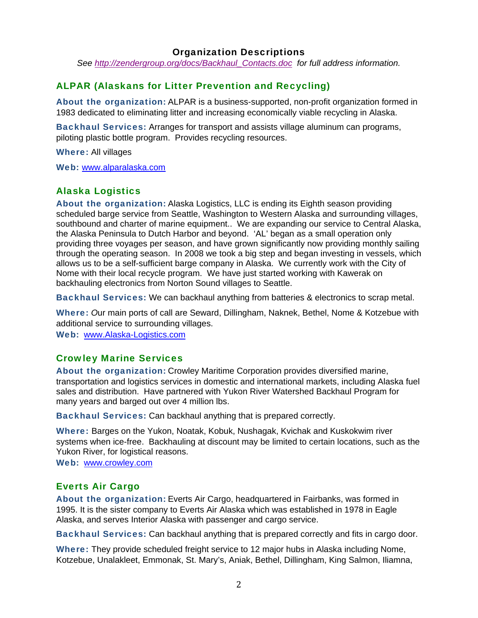#### Organization Descriptions

*See http://zendergroup.org/docs/Backhaul\_Contacts.doc for full address information.* 

### ALPAR (Alaskans for Litter Prevention and Recycling)

About the organization: ALPAR is a business-supported, non-profit organization formed in 1983 dedicated to eliminating litter and increasing economically viable recycling in Alaska.

Backhaul Services: Arranges for transport and assists village aluminum can programs, piloting plastic bottle program. Provides recycling resources.

Where: All villages

Web: www.alparalaska.com

### Alaska Logistics

About the organization: Alaska Logistics, LLC is ending its Eighth season providing scheduled barge service from Seattle, Washington to Western Alaska and surrounding villages, southbound and charter of marine equipment.. We are expanding our service to Central Alaska, the Alaska Peninsula to Dutch Harbor and beyond. 'AL' began as a small operation only providing three voyages per season, and have grown significantly now providing monthly sailing through the operating season. In 2008 we took a big step and began investing in vessels, which allows us to be a self-sufficient barge company in Alaska. We currently work with the City of Nome with their local recycle program. We have just started working with Kawerak on backhauling electronics from Norton Sound villages to Seattle.

Backhaul Services: We can backhaul anything from batteries & electronics to scrap metal.

Where: *O*ur main ports of call are Seward, Dillingham, Naknek, Bethel, Nome & Kotzebue with additional service to surrounding villages.

Web: www.Alaska-Logistics.com

#### Crowley Marine Services

About the organization: Crowley Maritime Corporation provides diversified marine, transportation and logistics services in domestic and international markets, including Alaska fuel sales and distribution. Have partnered with Yukon River Watershed Backhaul Program for many years and barged out over 4 million lbs.

Backhaul Services: Can backhaul anything that is prepared correctly.

Where: Barges on the Yukon, Noatak, Kobuk, Nushagak, Kvichak and Kuskokwim river systems when ice-free. Backhauling at discount may be limited to certain locations, such as the Yukon River, for logistical reasons.

Web: www.crowley.com

#### Everts Air Cargo

About the organization: Everts Air Cargo, headquartered in Fairbanks, was formed in 1995. It is the sister company to Everts Air Alaska which was established in 1978 in Eagle Alaska, and serves Interior Alaska with passenger and cargo service.

Backhaul Services: Can backhaul anything that is prepared correctly and fits in cargo door.

Where: They provide scheduled freight service to 12 major hubs in Alaska including Nome, Kotzebue, Unalakleet, Emmonak, St. Mary's, Aniak, Bethel, Dillingham, King Salmon, Iliamna,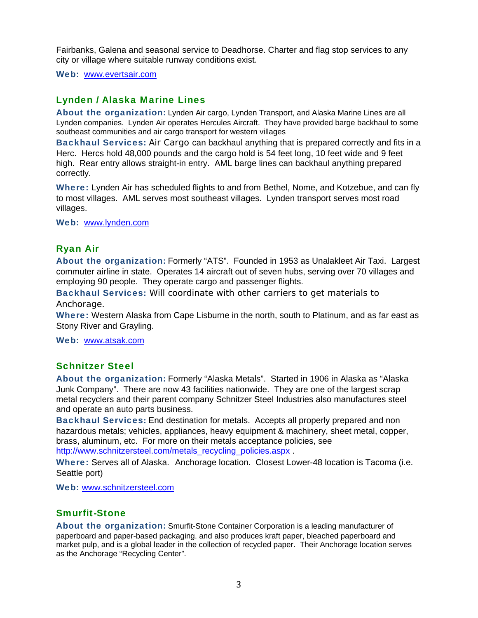Fairbanks, Galena and seasonal service to Deadhorse. Charter and flag stop services to any city or village where suitable runway conditions exist.

Web: www.evertsair.com

## Lynden / Alaska Marine Lines

About the organization: Lynden Air cargo, Lynden Transport, and Alaska Marine Lines are all Lynden companies. Lynden Air operates Hercules Aircraft. They have provided barge backhaul to some southeast communities and air cargo transport for western villages

Backhaul Services: Air Cargo can backhaul anything that is prepared correctly and fits in a Herc. Hercs hold 48,000 pounds and the cargo hold is 54 feet long, 10 feet wide and 9 feet high. Rear entry allows straight-in entry. AML barge lines can backhaul anything prepared correctly.

Where: Lynden Air has scheduled flights to and from Bethel, Nome, and Kotzebue, and can fly to most villages. AML serves most southeast villages. Lynden transport serves most road villages.

Web: www.lynden.com

#### Ryan Air

About the organization: Formerly "ATS". Founded in 1953 as Unalakleet Air Taxi. Largest commuter airline in state. Operates 14 aircraft out of seven hubs, serving over 70 villages and employing 90 people. They operate cargo and passenger flights.

Backhaul Services: Will coordinate with other carriers to get materials to Anchorage.

Where: Western Alaska from Cape Lisburne in the north, south to Platinum, and as far east as Stony River and Grayling.

Web: www.atsak.com

#### Schnitzer Steel

About the organization: Formerly "Alaska Metals". Started in 1906 in Alaska as "Alaska Junk Company". There are now 43 facilities nationwide. They are one of the largest scrap metal recyclers and their parent company Schnitzer Steel Industries also manufactures steel and operate an auto parts business.

Backhaul Services**:** End destination for metals.Accepts all properly prepared and non hazardous metals; vehicles, appliances, heavy equipment & machinery, sheet metal, copper, brass, aluminum, etc. For more on their metals acceptance policies, see http://www.schnitzersteel.com/metals\_recycling\_policies.aspx .

Where: Serves all of Alaska. Anchorage location. Closest Lower-48 location is Tacoma (i.e. Seattle port)

Web: www.schnitzersteel.com

#### Smurfit-Stone

About the organization: Smurfit-Stone Container Corporation is a leading manufacturer of paperboard and paper-based packaging. and also produces kraft paper, bleached paperboard and market pulp, and is a global leader in the collection of recycled paper. Their Anchorage location serves as the Anchorage "Recycling Center".